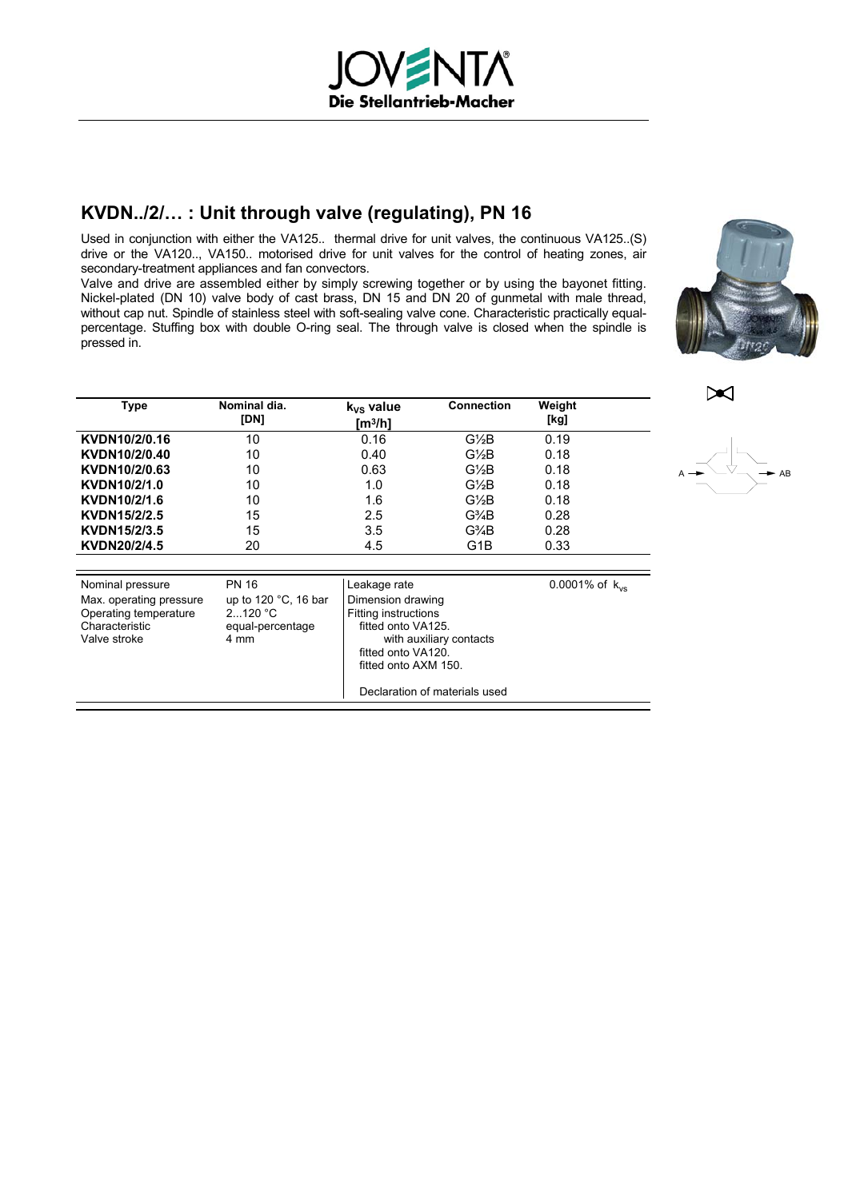# **KVDN../2/… : Unit through valve (regulating), PN 16**

Used in conjunction with either the VA125.. thermal drive for unit valves, the continuous VA125..(S) drive or the VA120.., VA150.. motorised drive for unit valves for the control of heating zones, air secondary-treatment appliances and fan convectors.

Valve and drive are assembled either by simply screwing together or by using the bayonet fitting. Nickel-plated (DN 10) valve body of cast brass, DN 15 and DN 20 of gunmetal with male thread, without cap nut. Spindle of stainless steel with soft-sealing valve cone. Characteristic practically equalpercentage. Stuffing box with double O-ring seal. The through valve is closed when the spindle is pressed in.



| <b>Type</b>                                                                                            | Nominal dia.<br>[DN]                                                          | k <sub>vs</sub> value<br>[m3/h]                                                                                                                                                                  | <b>Connection</b> | Weight<br>[kg]      |
|--------------------------------------------------------------------------------------------------------|-------------------------------------------------------------------------------|--------------------------------------------------------------------------------------------------------------------------------------------------------------------------------------------------|-------------------|---------------------|
| KVDN10/2/0.16                                                                                          | 10                                                                            | 0.16                                                                                                                                                                                             | G½B               | 0.19                |
| KVDN10/2/0.40                                                                                          | 10                                                                            | 0.40                                                                                                                                                                                             | $G\frac{1}{2}B$   | 0.18                |
| KVDN10/2/0.63                                                                                          | 10                                                                            | 0.63                                                                                                                                                                                             | $G\frac{1}{2}B$   | 0.18                |
| KVDN10/2/1.0                                                                                           | 10                                                                            | 1.0                                                                                                                                                                                              | $G\frac{1}{2}B$   | 0.18                |
| KVDN10/2/1.6                                                                                           | 10                                                                            | 1.6                                                                                                                                                                                              | G½B               | 0.18                |
| KVDN15/2/2.5                                                                                           | 15                                                                            | 2.5                                                                                                                                                                                              | G¾B               | 0.28                |
| KVDN15/2/3.5                                                                                           | 15                                                                            | 3.5                                                                                                                                                                                              | G¾B               | 0.28                |
| KVDN20/2/4.5                                                                                           | 20                                                                            | 4.5                                                                                                                                                                                              | G1B               | 0.33                |
|                                                                                                        |                                                                               |                                                                                                                                                                                                  |                   |                     |
| Nominal pressure<br>Max. operating pressure<br>Operating temperature<br>Characteristic<br>Valve stroke | <b>PN 16</b><br>up to $120$ °C, 16 bar<br>2120 °C<br>equal-percentage<br>4 mm | Leakage rate<br>Dimension drawing<br><b>Fitting instructions</b><br>fitted onto VA125.<br>with auxiliary contacts<br>fitted onto VA120.<br>fitted onto AXM 150.<br>Declaration of materials used |                   | 0.0001% of $k_{vs}$ |

 $\blacktriangleright$ 

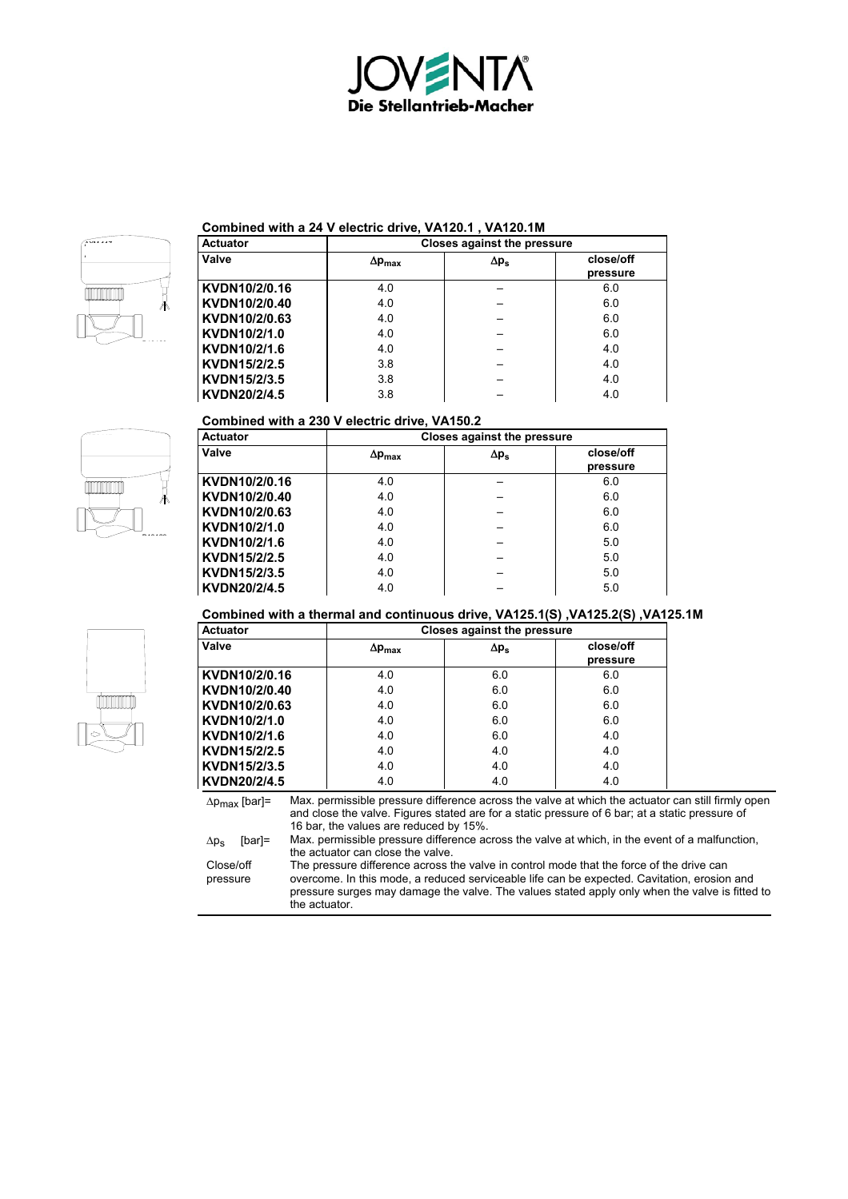



### **Combined with a 24 V electric drive, VA120.1 , VA120.1M**

| <b>Actuator</b> | Closes against the pressure |              |                       |
|-----------------|-----------------------------|--------------|-----------------------|
| Valve           | $\Delta p_{max}$            | $\Delta p_s$ | close/off<br>pressure |
| KVDN10/2/0.16   | 4.0                         |              | 6.0                   |
| KVDN10/2/0.40   | 4.0                         |              | 6.0                   |
| KVDN10/2/0.63   | 4.0                         |              | 6.0                   |
| KVDN10/2/1.0    | 4.0                         |              | 6.0                   |
| KVDN10/2/1.6    | 4.0                         |              | 4.0                   |
| KVDN15/2/2.5    | 3.8                         |              | 4.0                   |
| KVDN15/2/3.5    | 3.8                         |              | 4.0                   |
| KVDN20/2/4.5    | 3.8                         |              | 4.0                   |

## **Combined with a 230 V electric drive, VA150.2**

| <b>Actuator</b> |                      | <b>Closes against the pressure</b> |                       |  |
|-----------------|----------------------|------------------------------------|-----------------------|--|
| Valve           | $\Delta p_{\rm max}$ | $\Delta p_s$                       | close/off<br>pressure |  |
| KVDN10/2/0.16   | 4.0                  |                                    | 6.0                   |  |
| KVDN10/2/0.40   | 4.0                  |                                    | 6.0                   |  |
| KVDN10/2/0.63   | 4.0                  |                                    | 6.0                   |  |
| KVDN10/2/1.0    | 4.0                  |                                    | 6.0                   |  |
| KVDN10/2/1.6    | 4.0                  |                                    | 5.0                   |  |
| KVDN15/2/2.5    | 4.0                  |                                    | 5.0                   |  |
| KVDN15/2/3.5    | 4.0                  |                                    | 5.0                   |  |
| KVDN20/2/4.5    | 4.0                  |                                    | 5.0                   |  |

## **Combined with a thermal and continuous drive, VA125.1(S) ,VA125.2(S) ,VA125.1M**

| <b>Actuator</b> | <b>Closes against the pressure</b> |              |                       |
|-----------------|------------------------------------|--------------|-----------------------|
| Valve           | $\Delta p_{\rm max}$               | $\Delta p_s$ | close/off<br>pressure |
| KVDN10/2/0.16   | 4.0                                | 6.0          | 6.0                   |
| KVDN10/2/0.40   | 4.0                                | 6.0          | 6.0                   |
| KVDN10/2/0.63   | 4.0                                | 6.0          | 6.0                   |
| KVDN10/2/1.0    | 4.0                                | 6.0          | 6.0                   |
| KVDN10/2/1.6    | 4.0                                | 6.0          | 4.0                   |
| KVDN15/2/2.5    | 4.0                                | 4.0          | 4.0                   |
| KVDN15/2/3.5    | 4.0                                | 4.0          | 4.0                   |
| KVDN20/2/4.5    | 4.0                                | 4.0          | 4.0                   |

∆p<sub>max</sub> [bar]= Max. permissible pressure difference across the valve at which the actuator can still firmly open and close the valve. Figures stated are for a static pressure of 6 bar; at a static pressure of 16 bar, the values are reduced by 15%.

 $\Delta p_s$  [bar]= Max. permissible pressure difference across the valve at which, in the event of a malfunction, the actuator can close the valve.

Close/off pressure

The pressure difference across the valve in control mode that the force of the drive can overcome. In this mode, a reduced serviceable life can be expected. Cavitation, erosion and pressure surges may damage the valve. The values stated apply only when the valve is fitted to the actuator.



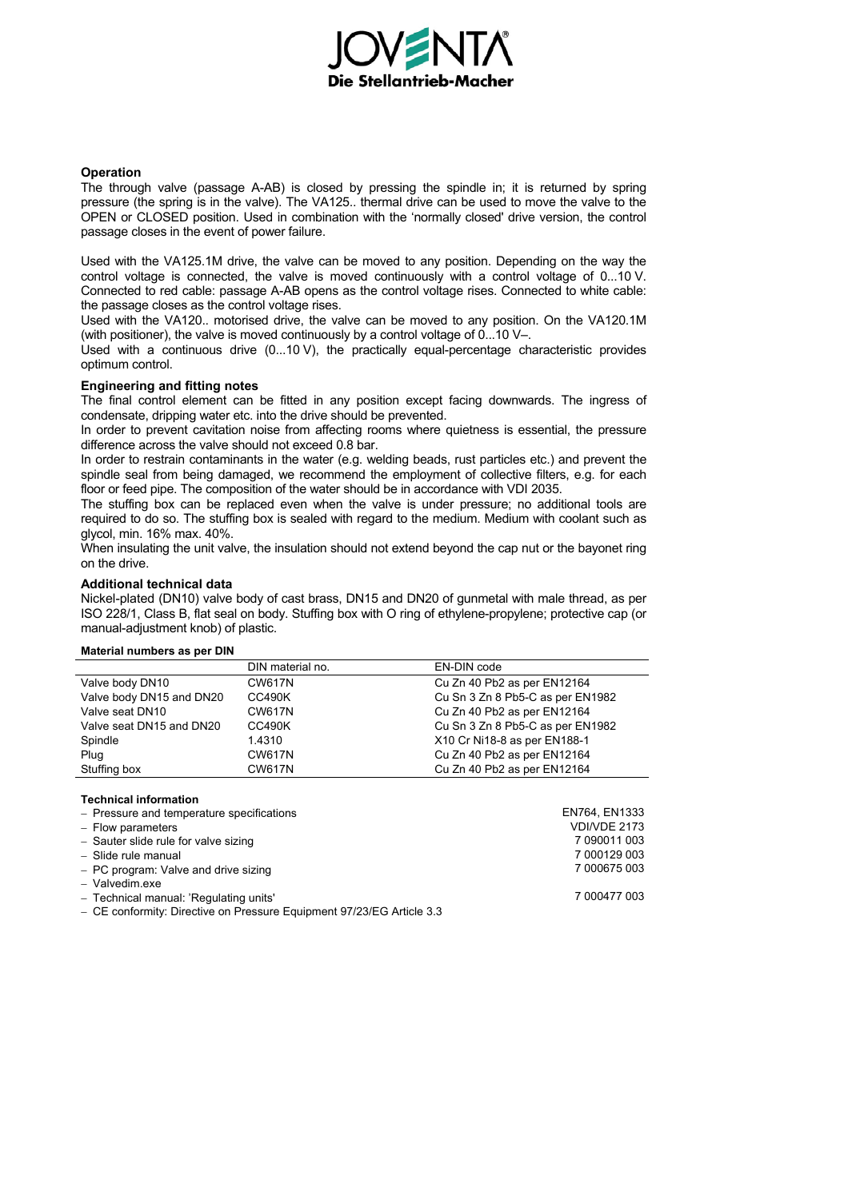

#### **Operation**

The through valve (passage A-AB) is closed by pressing the spindle in; it is returned by spring pressure (the spring is in the valve). The VA125.. thermal drive can be used to move the valve to the OPEN or CLOSED position. Used in combination with the 'normally closed' drive version, the control passage closes in the event of power failure.

Used with the VA125.1M drive, the valve can be moved to any position. Depending on the way the control voltage is connected, the valve is moved continuously with a control voltage of 0...10 V. Connected to red cable: passage A-AB opens as the control voltage rises. Connected to white cable: the passage closes as the control voltage rises.

Used with the VA120.. motorised drive, the valve can be moved to any position. On the VA120.1M (with positioner), the valve is moved continuously by a control voltage of 0...10 V–.

Used with a continuous drive (0...10 V), the practically equal-percentage characteristic provides optimum control.

#### **Engineering and fitting notes**

The final control element can be fitted in any position except facing downwards. The ingress of condensate, dripping water etc. into the drive should be prevented.

In order to prevent cavitation noise from affecting rooms where quietness is essential, the pressure difference across the valve should not exceed 0.8 bar.

In order to restrain contaminants in the water (e.g. welding beads, rust particles etc.) and prevent the spindle seal from being damaged, we recommend the employment of collective filters, e.g. for each floor or feed pipe. The composition of the water should be in accordance with VDI 2035.

The stuffing box can be replaced even when the valve is under pressure; no additional tools are required to do so. The stuffing box is sealed with regard to the medium. Medium with coolant such as glycol, min. 16% max. 40%.

When insulating the unit valve, the insulation should not extend beyond the cap nut or the bayonet ring on the drive.

#### **Additional technical data**

Nickel-plated (DN10) valve body of cast brass, DN15 and DN20 of gunmetal with male thread, as per ISO 228/1, Class B, flat seal on body. Stuffing box with O ring of ethylene-propylene; protective cap (or manual-adjustment knob) of plastic.

#### **Material numbers as per DIN**

|                          | DIN material no. | EN-DIN code                      |
|--------------------------|------------------|----------------------------------|
| Valve body DN10          | <b>CW617N</b>    | Cu Zn 40 Pb2 as per EN12164      |
| Valve body DN15 and DN20 | <b>CC490K</b>    | Cu Sn 3 Zn 8 Pb5-C as per EN1982 |
| Valve seat DN10          | <b>CW617N</b>    | Cu Zn 40 Pb2 as per EN12164      |
| Valve seat DN15 and DN20 | <b>CC490K</b>    | Cu Sn 3 Zn 8 Pb5-C as per EN1982 |
| Spindle                  | 1.4310           | X10 Cr Ni18-8 as per EN188-1     |
| Plug                     | <b>CW617N</b>    | Cu Zn 40 Pb2 as per EN12164      |
| Stuffing box             | <b>CW617N</b>    | Cu Zn 40 Pb2 as per EN12164      |

**Technical information** 

| $-$ Pressure and temperature specifications                           | EN764, EN1333 |
|-----------------------------------------------------------------------|---------------|
| $-$ Flow parameters                                                   | VDI/VDE 2173  |
| - Sauter slide rule for valve sizing                                  | 7 090011 003  |
| - Slide rule manual                                                   | 7 000129 003  |
| - PC program: Valve and drive sizing                                  | 7 000675 003  |
| - Valvedim.exe                                                        |               |
| - Technical manual: 'Regulating units'                                | 7 000477 003  |
| - CE conformity: Directive on Pressure Equipment 97/23/EG Article 3.3 |               |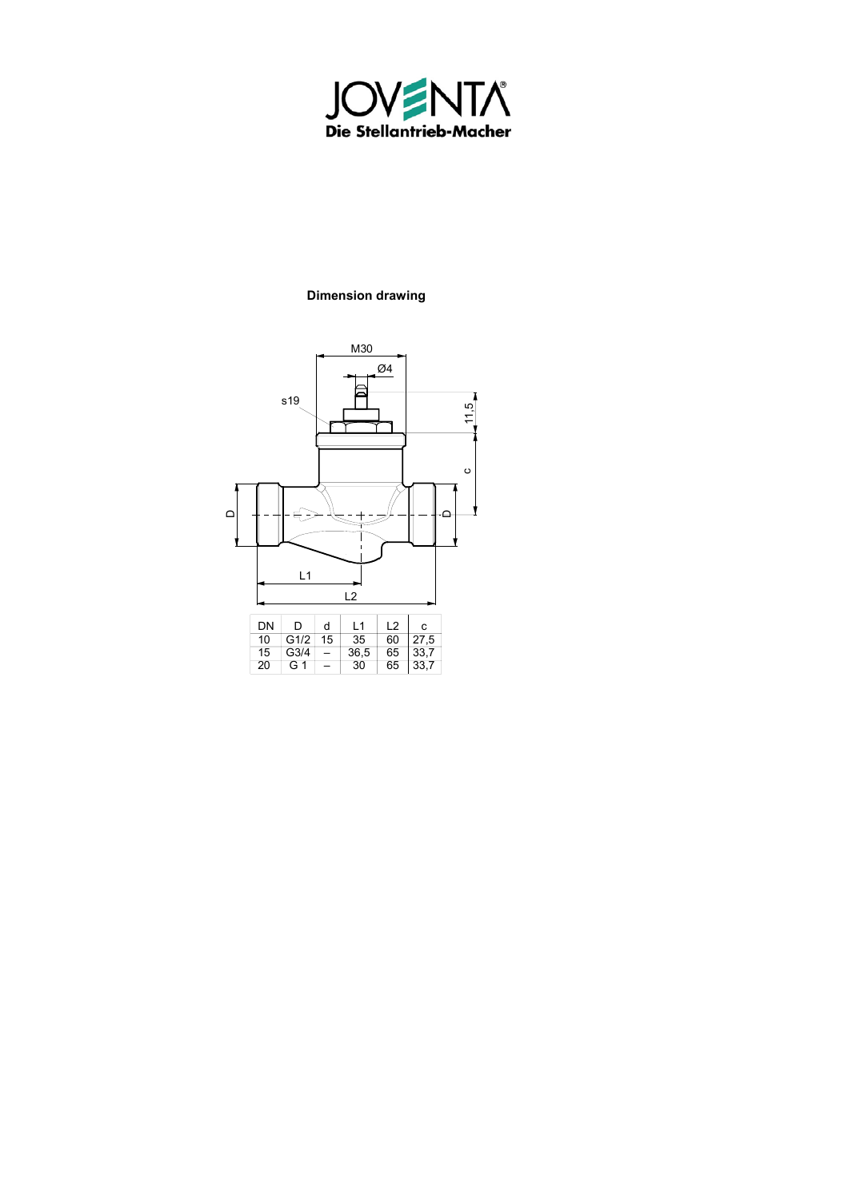

# **Dimension drawing**